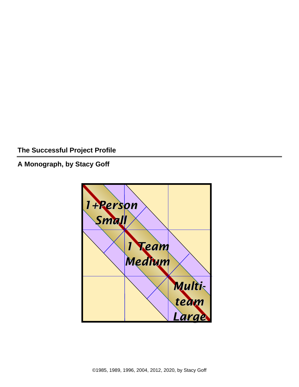**The Successful Project Profile**

**A Monograph, by Stacy Goff**

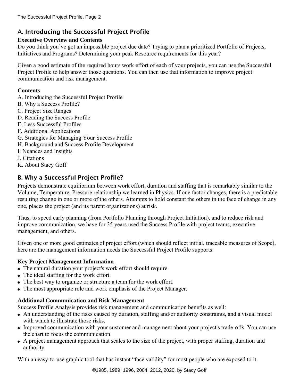# A. Introducing the Successful Project Profile

# **Executive Overview and Contents**

Do you think you've got an impossible project due date? Trying to plan a prioritized Portfolio of Projects, Initiatives and Programs? Determining your peak Resource requirements for this year?

Given a good estimate of the required hours work effort of each of your projects, you can use the Successful Project Profile to help answer those questions. You can then use that information to improve project communication and risk management.

### **Contents**

- A. Introducing the Successful Project Profile
- B. Why a Success Profile?
- C. Project Size Ranges
- D. Reading the Success Profile
- E. Less-Successful Profiles
- F. Additional Applications
- G. Strategies for Managing Your Success Profile
- H. Background and Success Profile Development
- I. Nuances and Insights
- J. Citations
- K. About Stacy Goff

# B. Why a Successful Project Profile?

Projects demonstrate equilibrium between work effort, duration and staffing that is remarkably similar to the Volume, Temperature, Pressure relationship we learned in Physics. If one factor changes, there is a predictable resulting change in one or more of the others. Attempts to hold constant the others in the face of change in any one, places the project (and its parent organizations) at risk.

Thus, to speed early planning (from Portfolio Planning through Project Initiation), and to reduce risk and improve communication, we have for 35 years used the Success Profile with project teams, executive management, and others.

Given one or more good estimates of project effort (which should reflect initial, traceable measures of Scope), here are the management information needs the Successful Project Profile supports:

## **Key Project Management Information**

- The natural duration your project's work effort should require.
- The ideal staffing for the work effort.
- The best way to organize or structure a team for the work effort.
- The most appropriate role and work emphasis of the Project Manager.

## **Additional Communication and Risk Management**

Success Profile Analysis provides risk management and communication benefits as well:

- An understanding of the risks caused by duration, staffing and/or authority constraints, and a visual model with which to illustrate those risks.
- Improved communication with your customer and management about your project's trade-offs. You can use the chart to focus the communication.
- A project management approach that scales to the size of the project, with proper staffing, duration and authority.

With an easy-to-use graphic tool that has instant "face validity" for most people who are exposed to it.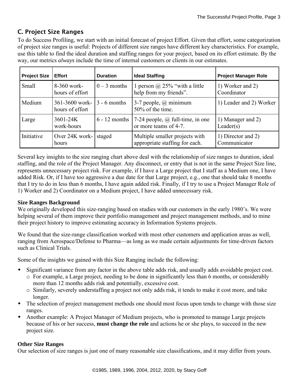# C. Project Size Ranges

To do Success Profiling, we start with an initial forecast of project Effort. Given that effort, some categorization of project size ranges is useful: Projects of different size ranges have different key characteristics. For example, use this table to find the ideal duration and staffing ranges for your project, based on its effort estimate. By the way, our metrics *always* include the time of internal customers or clients in our estimates.

| <b>Project Size</b> | <b>Effort</b>                       | <b>Duration</b> | <b>Ideal Staffing</b>                                                    | <b>Project Manager Role</b>        |
|---------------------|-------------------------------------|-----------------|--------------------------------------------------------------------------|------------------------------------|
| Small               | 8-360 work-<br>hours of effort      | $0 - 3$ months  | 1 person $\omega$ 25% "with a little"<br>help from my friends".          | 1) Worker and 2)<br>Coordinator    |
| Medium              | $361-3600$ work-<br>hours of effort | $3 - 6$ months  | 3-7 people, $\omega$ minimum<br>$50\%$ of the time.                      | 1) Leader and 2) Worker            |
| Large               | 3601-24K<br>work-hours              | $6 - 12$ months | $\vert$ 7-24 people, $\omega$ full-time, in one<br>or more teams of 4-7. | 1) Manager and 2)<br>Leader(s)     |
| Initiative          | Over $24K$ work-<br>hours           | staged          | Multiple smaller projects with<br>appropriate staffing for each.         | 1) Director and 2)<br>Communicator |

Several key insights to the size ranging chart above deal with the relationship of size ranges to duration, ideal staffing, and the role of the Project Manager. Any disconnect, or entry that is not in the same Project Size line, represents unnecessary project risk. For example, if I have a Large project that I staff as a Medium one, I have added Risk. Or, if I have too aggressive a due date for that Large project, e.g., one that should take 8 months that I try to do in less than 6 months, I have again added risk. Finally, if I try to use a Project Manager Role of 1) Worker and 2) Coordinator on a Medium project, I have added unnecessary risk.

### **Size Ranges Background**

We originally developed this size-ranging based on studies with our customers in the early 1980's. We were helping several of them improve their portfolio management and project management methods, and to mine their project history to improve estimating accuracy in Information Systems projects.

We found that the size-range classification worked with most other customers and application areas as well, ranging from Aerospace/Defense to Pharma—as long as we made certain adjustments for time-driven factors such as Clinical Trials.

Some of the insights we gained with this Size Ranging include the following:

- Significant variance from any factor in the above table adds risk, and usually adds avoidable project cost.
	- o For example, a Large project, needing to be done in significantly less than 6 months, or considerably more than 12 months adds risk and potentially, excessive cost.
	- o Similarly, severely understaffing a project not only adds risk, it tends to make it cost more, and take longer.
- The selection of project management methods one should most focus upon tends to change with those size ranges.
- Another example: A Project Manager of Medium projects, who is promoted to manage Large projects because of his or her success, **must change the role** and actions he or she plays, to succeed in the new project size.

### **Other Size Ranges**

Our selection of size ranges is just one of many reasonable size classifications, and it may differ from yours.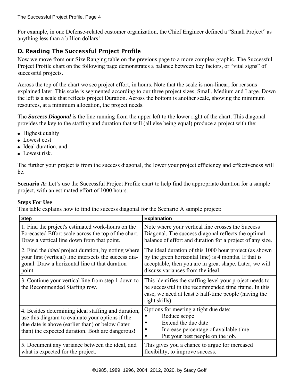For example, in one Defense-related customer organization, the Chief Engineer defined a "Small Project" as anything less than a billion dollars!

# D. Reading The Successful Project Profile

Now we move from our Size Ranging table on the previous page to a more complex graphic. The Successful Project Profile chart on the following page demonstrates a balance between key factors, or "vital signs" of successful projects.

Across the top of the chart we see project effort, in hours. Note that the scale is non-linear, for reasons explained later. This scale is segmented according to our three project sizes, Small, Medium and Large. Down the left is a scale that reflects project Duration. Across the bottom is another scale, showing the minimum resources, at a minimum allocation, the project needs.

The *Success Diagonal* is the line running from the upper left to the lower right of the chart. This diagonal provides the key to the staffing and duration that will (all else being equal) produce a project with the:

- Highest quality
- Lowest cost
- Ideal duration, and
- Lowest risk.

The further your project is from the success diagonal, the lower your project efficiency and effectiveness will be.

**Scenario A:** Let's use the Successful Project Profile chart to help find the appropriate duration for a sample project, with an estimated effort of 1000 hours.

### **Steps For Use**

This table explains how to find the success diagonal for the Scenario A sample project:

| <b>Step</b>                                                                                                                                                                                                     | <b>Explanation</b>                                                                                                                                                                          |  |
|-----------------------------------------------------------------------------------------------------------------------------------------------------------------------------------------------------------------|---------------------------------------------------------------------------------------------------------------------------------------------------------------------------------------------|--|
| 1. Find the project's estimated work-hours on the                                                                                                                                                               | Note where your vertical line crosses the Success                                                                                                                                           |  |
| Forecasted Effort scale across the top of the chart.                                                                                                                                                            | Diagonal. The success diagonal reflects the optimal                                                                                                                                         |  |
| Draw a vertical line down from that point.                                                                                                                                                                      | balance of effort and duration for a project of any size.                                                                                                                                   |  |
| 2. Find the <i>ideal</i> project duration, by noting where                                                                                                                                                      | The ideal duration of this 1000 hour project (as shown                                                                                                                                      |  |
| your first (vertical) line intersects the success dia-                                                                                                                                                          | by the green horizontal line) is 4 months. If that is                                                                                                                                       |  |
| gonal. Draw a horizontal line at that duration                                                                                                                                                                  | acceptable, then you are in great shape. Later, we will                                                                                                                                     |  |
| point.                                                                                                                                                                                                          | discuss variances from the ideal.                                                                                                                                                           |  |
| 3. Continue your vertical line from step 1 down to<br>the Recommended Staffing row.                                                                                                                             | This identifies the staffing level your project needs to<br>be successful in the recommended time frame. In this<br>case, we need at least 5 half-time people (having the<br>right skills). |  |
| 4. Besides determining ideal staffing and duration,<br>use this diagram to evaluate your options if the<br>due date is above (earlier than) or below (later<br>than) the expected duration. Both are dangerous! | Options for meeting a tight due date:<br>Reduce scope<br>Extend the due date<br>Increase percentage of available time<br>Put your best people on the job.                                   |  |
| 5. Document any variance between the ideal, and                                                                                                                                                                 | This gives you a chance to argue for increased                                                                                                                                              |  |
| what is expected for the project.                                                                                                                                                                               | flexibility, to improve success.                                                                                                                                                            |  |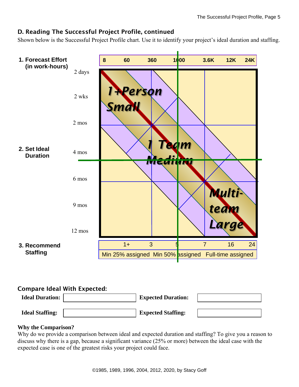## D. Reading The Successful Project Profile, continued

Shown below is the Successful Project Profile chart. Use it to identify your project's ideal duration and staffing.



## Compare Ideal With Expected:

| <b>Expected Duration:</b> |                           |
|---------------------------|---------------------------|
|                           |                           |
|                           | <b>Expected Staffing:</b> |

### **Why the Comparison?**

Why do we provide a comparison between ideal and expected duration and staffing? To give you a reason to discuss why there is a gap, because a significant variance (25% or more) between the ideal case with the expected case is one of the greatest risks your project could face.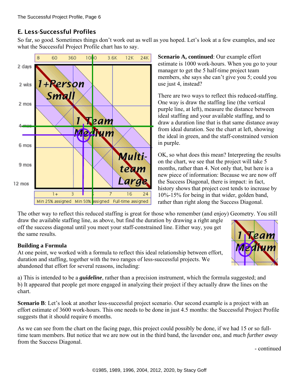# E. Less-Successful Profiles

So far, so good. Sometimes things don't work out as well as you hoped. Let's look at a few examples, and see what the Successful Project Profile chart has to say.



**Scenario A, continued**: Our example effort estimate is 1000 work-hours. When you go to your manager to get the 5 half-time project team members, she says she can't give you 5; could you use just 4, instead?

There are two ways to reflect this reduced-staffing. One way is draw the staffing line (the vertical purple line, at left), measure the distance between ideal staffing and your available staffing, and to draw a duration line that is that same distance away from ideal duration. See the chart at left, showing the ideal in green, and the staff-constrained version in purple.

OK, so what does this mean? Interpreting the results on the chart, we see that the project will take 5 months, rather than 4. Not only that, but here is a new piece of information: Because we are now off the Success Diagonal, there is impact: in fact, history shows that project cost tends to increase by 10%-15% for being in that wider, golden band, rather than right along the Success Diagonal.

The other way to reflect this reduced staffing is great for those who remember (and enjoy) Geometry. You still

draw the available staffing line, as above, but find the duration by drawing a right angle off the success diagonal until you meet your staff-constrained line. Either way, you get the same results.

## **Building a Formula**

At one point, we worked with a formula to reflect this ideal relationship between effort, duration and staffing, together with the two ranges of less-successful projects. We abandoned that effort for several reasons, including:

a) This is intended to be a *guideline*, rather than a precision instrument, which the formula suggested; and b) It appeared that people get more engaged in analyzing their project if they actually draw the lines on the chart.

**Scenario B**: Let's look at another less-successful project scenario. Our second example is a project with an effort estimate of 3600 work-hours. This one needs to be done in just 4.5 months: the Successful Project Profile suggests that it should require 6 months.

As we can see from the chart on the facing page, this project could possibly be done, if we had 15 or so fulltime team members. But notice that we are now out in the third band, the lavender one, and *much further away* from the Success Diagonal.

- continued

Leam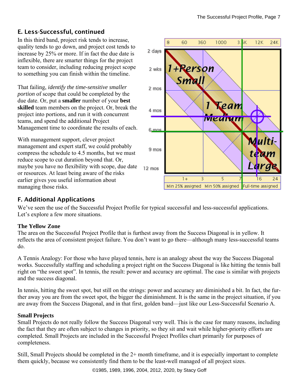# E. Less-Successful, continued

In this third band, project risk tends to increase, quality tends to go down, and project cost tends to increase by 25% or more. If in fact the due date is inflexible, there are smarter things for the project team to consider, including reducing project scope to something you can finish within the timeline.

That failing, *identify the time-sensitive smaller portion* of scope that could be completed by the due date. Or, put a **smaller** number of your **best skilled** team members on the project. Or, break the project into portions, and run it with concurrent teams, and spend the additional Project Management time to coordinate the results of each.

With management support, clever project management and expert staff, we could probably compress the schedule to 4.5 months, but we must reduce scope to cut duration beyond that. Or, maybe you have no flexibility with scope, due date or resources. At least being aware of the risks earlier gives you useful information about managing those risks.



# F. Additional Applications

We've seen the use of the Successful Project Profile for typical successful and less-successful applications. Let's explore a few more situations.

### **The Yellow Zone**

The area on the Successful Project Profile that is furthest away from the Success Diagonal is in yellow. It reflects the area of consistent project failure. You don't want to go there—although many less-successful teams do.

A Tennis Analogy: For those who have played tennis, here is an analogy about the way the Success Diagonal works. Successfully staffing and scheduling a project right on the Success Diagonal is like hitting the tennis ball right on "the sweet spot". In tennis, the result: power and accuracy are optimal. The case is similar with projects and the success diagonal.

In tennis, hitting the sweet spot, but still on the strings: power and accuracy are diminished a bit. In fact, the further away you are from the sweet spot, the bigger the diminishment. It is the same in the project situation, if you are away from the Success Diagonal, and in that first, golden band—just like our Less-Successful Scenario A.

### **Small Projects**

Small Projects do not really follow the Success Diagonal very well. This is the case for many reasons, including the fact that they are often subject to changes in priority, so they sit and wait while higher-priority efforts are completed. Small Projects are included in the Successful Project Profiles chart primarily for purposes of completeness.

Still, Small Projects should be completed in the 2+ month timeframe, and it is especially important to complete them quickly, because we consistently find them to be the least-well managed of all project sizes.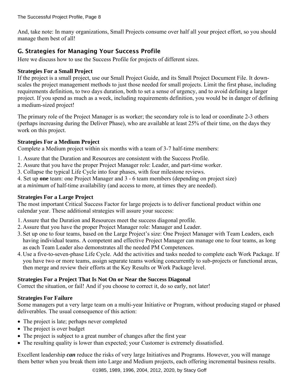And, take note: In many organizations, Small Projects consume over half all your project effort, so you should manage them best of all!

# G. Strategies for Managing Your Success Profile

Here we discuss how to use the Success Profile for projects of different sizes.

### **Strategies For a Small Project**

If the project is a small project, use our Small Project Guide, and its Small Project Document File. It downscales the project management methods to just those needed for small projects. Limit the first phase, including requirements definition, to two days duration, both to set a sense of urgency, and to avoid defining a larger project. If you spend as much as a week, including requirements definition, you would be in danger of defining a medium-sized project!

The primary role of the Project Manager is as worker; the secondary role is to lead or coordinate 2-3 others (perhaps increasing during the Deliver Phase), who are available at least 25% of their time, on the days they work on this project.

## **Strategies For a Medium Project**

Complete a Medium project within six months with a team of 3-7 half-time members:

- 1. Assure that the Duration and Resources are consistent with the Success Profile.
- 2. Assure that you have the proper Project Manager role: Leader, and part-time worker.
- 3. Collapse the typical Life Cycle into four phases, with four milestone reviews.
- 4. Set up **one** team: one Project Manager and 3 6 team members (depending on project size)

at a *minimum* of half-time availability (and access to more, at times they are needed).

### **Strategies For a Large Project**

The most important Critical Success Factor for large projects is to deliver functional product within one calendar year. These additional strategies will assure your success:

- 1. Assure that the Duration and Resources meet the success diagonal profile.
- 2. Assure that you have the proper Project Manager role: Manager and Leader.
- 3. Set up one to four teams, based on the Large Project's size: One Project Manager with Team Leaders, each having individual teams. A competent and effective Project Manager can manage one to four teams, as long as each Team Leader also demonstrates all the needed PM Competences.
- 4. Use a five-to-seven-phase Life Cycle. Add the activities and tasks needed to complete each Work Package. If you have two or more teams, assign separate teams working concurrently to sub-projects or functional areas, then merge and review their efforts at the Key Results or Work Package level.

### **Strategies For a Project That Is Not On or Near the Success Diagonal**

Correct the situation, or fail! And if you choose to correct it, do so early, not later!

### **Strategies For Failure**

Some managers put a very large team on a multi-year Initiative or Program, without producing staged or phased deliverables. The usual consequence of this action:

- The project is late; perhaps never completed
- The project is over budget
- The project is subject to a great number of changes after the first year
- The resulting quality is lower than expected; your Customer is extremely dissatisfied.

Excellent leadership *can* reduce the risks of very large Initiatives and Programs. However, you will manage them better when you break them into Large and Medium projects, each offering incremental business results.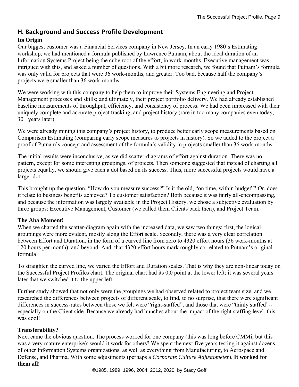# H. Background and Success Profile Development

### **Its Origin**

Our biggest customer was a Financial Services company in New Jersey. In an early 1980's Estimating workshop, we had mentioned a formula published by Lawrence Putnam, about the ideal duration of an Information Systems Project being the cube root of the effort, in work-months. Executive management was intrigued with this, and asked a number of questions. With a bit more research, we found that Putnam's formula was only valid for projects that were 36 work-months, and greater. Too bad, because half the company's projects were smaller than 36 work-months.

We were working with this company to help them to improve their Systems Engineering and Project Management processes and skills; and ultimately, their project portfolio delivery. We had already established baseline measurements of throughput, efficiency, and consistency of process. We had been impressed with their uniquely complete and accurate project tracking, and project history (rare in too many companies even today, 30+ years later).

We were already mining this company's project history, to produce better early scope measurements based on Comparison Estimating (comparing early scope measures to projects in history). So we added to the project a proof of Putnam's concept and assessment of the formula's validity in projects smaller than 36 work-months.

The initial results were inconclusive, as we did scatter-diagrams of effort against duration. There was no pattern, except for some interesting groupings, of projects. Then someone suggested that instead of charting all projects equally, we should give each a dot based on its success. Thus, more successful projects would have a larger dot.

This brought up the question, "How do you measure success?" Is it the old, "on time, within budget"? Or, does it relate to business benefits achieved? To customer satisfaction? Both because it was fairly all-encompassing, and because the information was largely available in the Project History, we chose a subjective evaluation by three groups: Executive Management, Customer (we called them Clients back then), and Project Team.

### **The Aha Moment!**

When we charted the scatter-diagram again with the increased data, we saw two things: first, the logical groupings were more evident, mostly along the Effort scale. Secondly, there was a very clear correlation between Effort and Duration, in the form of a curved line from zero to 4320 effort hours (36 work-months at 120 hours per month), and beyond. And, that 4320 effort hours mark roughly correlated to Putnam's original formula!

To straighten the curved line, we varied the Effort and Duration scales. That is why they are non-linear today on the Successful Project Profiles chart. The original chart had its 0,0 point at the lower left; it was several years later that we switched it to the upper left.

Further study showed that not only were the groupings we had observed related to project team size, and we researched the differences between projects of different scale, to find, to no surprise, that there were significant differences in success-rates between those we felt were "right-staffed", and those that were "thinly staffed"- especially on the Client side. Because we already had hunches about the impact of the right staffing level, this was cool!

#### **Transferability?**

Next came the obvious question. The process worked for one company (this was long before CMMi, but this was a very mature enterprise): would it work for others? We spent the next five years testing it against dozens of other Information Systems organizations, as well as everything from Manufacturing, to Aerospace and Defense, and Pharma. With some adjustments (perhaps a *Corporate Culture Adjustometer*). **It worked for them all!**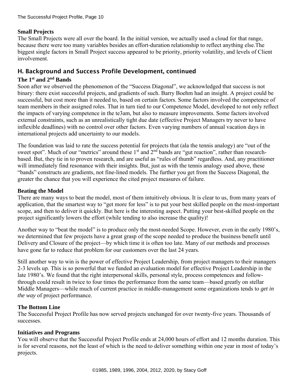### **Small Projects**

The Small Projects were all over the board. In the initial version, we actually used a cloud for that range, because there were too many variables besides an effort-duration relationship to reflect anything else.The biggest single factors in Small Project success appeared to be priority, priority volatility, and levels of Client involvement.

## H. Background and Success Profile Development, continued

### **The 1st and 2nd Bands**

Soon after we observed the phenomenon of the "Success Diagonal", we acknowledged that success is not binary: there exist successful projects, and gradients of such. Barry Boehm had an insight. A project could be successful, but cost more than it needed to, based on certain factors. Some factors involved the competence of team members in their assigned roles. That in turn tied to our Competence Model, developed to not only reflect the impacts of varying competence in the te3am, but also to measure improvements. Some factors involved external constraints, such as an unrealistically tight due date (effective Project Managers try never to have inflexible deadlines) with no control over other factors. Even varying numbers of annual vacation days in international projects add uncertainty to our models.

The foundation was laid to rate the success potential for projects that (ala the tennis analogy) are "out of the sweet spot". Much of our "metrics" around these  $1<sup>st</sup>$  and  $2<sup>nd</sup>$  bands are "gut reaction", rather than researchbased. But, they tie in to proven research, and are useful as "rules of thumb" regardless. And, any practitioner will immediately find resonance with their insights. But, just as with the tennis analogy used above, these "bands" constructs are gradients, not fine-lined models. The further you get from the Success Diagonal, the greater the chance that you will experience the cited project measures of failure.

### **Beating the Model**

There are many ways to beat the model, most of them intuitively obvious. It is clear to us, from many years of application, that the smartest way to "get more for less" is to put your best skilled people on the most-important scope, and then to deliver it quickly. But here is the interesting aspect. Putting your best-skilled people on the project significantly lowers the effort (while tending to also increase the quality)!

Another way to "beat the model" is to produce only the most-needed Scope. However, even in the early 1980's, we determined that few projects have a great grasp of the scope needed to produce the business benefit until Delivery and Closure of the project—by which time it is often too late. Many of our methods and processes have gone far to reduce that problem for our customers over the last 24 years.

Still another way to win is the power of effective Project Leadership, from project managers to their managers 2-3 levels up. This is so powerful that we funded an evaluation model for effective Project Leadership in the late 1980's. We found that the right interpersonal skills, personal style, process competences and followthrough could result in twice to four times the performance from the same team—based greatly on stellar Middle Managers—while much of current practice in middle-management some organizations tends to *get in the way* of project performance.

### **The Bottom Line**

The Successful Project Profile has now served projects unchanged for over twenty-five years. Thousands of successes.

#### **Initiatives and Programs**

You will observe that the Successful Project Profile ends at 24,000 hours of effort and 12 months duration. This is for several reasons, not the least of which is the need to deliver something within one year in most of today's projects.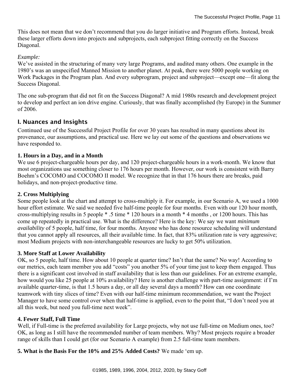This does not mean that we don't recommend that you do larger initiative and Program efforts. Instead, break these larger efforts down into projects and subprojects, each subproject fitting correctly on the Success Diagonal.

#### *Example:*

We've assisted in the structuring of many very large Programs, and audited many others. One example in the 1980's was an unspecified Manned Mission to another planet. At peak, there were 5000 people working on Work Packages in the Program plan. And every subprogram, project and subproject—except one—fit along the Success Diagonal.

The one sub-program that did not fit on the Success Diagonal? A mid 1980s research and development project to develop and perfect an ion drive engine. Curiously, that was finally accomplished (by Europe) in the Summer of 2006.

#### I. Nuances and Insights

Continued use of the Successful Project Profile for over 30 years has resulted in many questions about its provenance, our assumptions, and practical use. Here we lay out some of the questions and observations we have responded to.

#### **1. Hours in a Day, and in a Month**

We use 6 project-chargeable hours per day, and 120 project-chargeable hours in a work-month. We know that most organizations use something closer to 176 hours per month. However, our work is consistent with Barry Boehm's COCOMO and COCOMO II model. We recognize that in that 176 hours there are breaks, paid holidays, and non-project-productive time.

#### **2. Cross Multiplying**

Some people look at the chart and attempt to cross-multiply it. For example, in our Scenario A, we used a 1000 hour effort estimate. We said we needed five half-time people for four months. Even with our 120 hour month, cross-multiplying results in 5 people \* .5 time \* 120 hours in a month \* 4 months , or 1200 hours. This has come up repeatedly in practical use. What is the difference? Here is the key: We say we want *minimum availability* of 5 people, half time, for four months. Anyone who has done resource scheduling will understand that you cannot apply all resources, all their available time. In fact, that 83% utilization rate is very aggressive; most Medium projects with non-interchangeable resources are lucky to get 50% utilization.

#### **3. More Staff at Lower Availability**

OK, so 5 people, half time. How about 10 people at quarter time? Isn't that the same? No way! According to our metrics, each team member you add "costs" you another 5% of your time just to keep them engaged. Thus there is a significant cost involved in staff availability that is less than our guidelines. For an extreme example, how would you like 25 people at 10% availability? Here is another challenge with part-time assignment: if I'm available quarter-time, is that 1.5 hours a day, or all day several days a month? How can one coordinate teamwork with tiny slices of time? Even with our half-time minimum recommendation, we want the Project Manager to have some control over when that half-time is applied, even to the point that, "I don't need you at all this week, but need you full-time next week".

#### **4. Fewer Staff, Full Time**

Well, if Full-time is the preferred availability for Large projects, why not use full-time on Medium ones, too? OK, as long as I still have the recommended number of team members. Why? Most projects require a broader range of skills than I could get (for our Scenario A example) from 2.5 full-time team members.

**5. What is the Basis For the 10% and 25% Added Costs?** We made 'em up.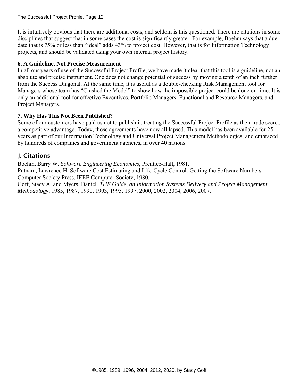It is intuitively obvious that there are additional costs, and seldom is this questioned. There are citations in some disciplines that suggest that in some cases the cost is significantly greater. For example, Boehm says that a due date that is 75% or less than "ideal" adds 43% to project cost. However, that is for Information Technology projects, and should be validated using your own internal project history.

#### **6. A Guideline, Not Precise Measurement**

In all our years of use of the Successful Project Profile, we have made it clear that this tool is a guideline, not an absolute and precise instrument. One does not change potential of success by moving a tenth of an inch further from the Success Diagonal. At the same time, it is useful as a double-checking Risk Management tool for Managers whose team has "Crashed the Model" to show how the impossible project could be done on time. It is only an additional tool for effective Executives, Portfolio Managers, Functional and Resource Managers, and Project Managers.

#### **7. Why Has This Not Been Published?**

Some of our customers have paid us not to publish it, treating the Successful Project Profile as their trade secret, a competitive advantage. Today, those agreements have now all lapsed. This model has been available for 25 years as part of our Information Technology and Universal Project Management Methodologies, and embraced by hundreds of companies and government agencies, in over 40 nations.

## J. Citations

Boehm, Barry W. *Software Engineering Economics*, Prentice-Hall, 1981.

Putnam, Lawrence H. Software Cost Estimating and Life-Cycle Control: Getting the Software Numbers. Computer Society Press, IEEE Computer Society, 1980.

Goff, Stacy A. and Myers, Daniel. *THE Guide, an Information Systems Delivery and Project Management Methodology*, 1985, 1987, 1990, 1993, 1995, 1997, 2000, 2002, 2004, 2006, 2007.